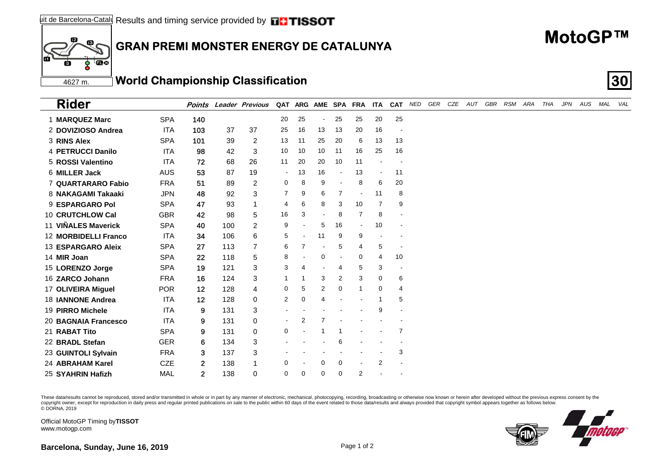## $\mathbb{Z}$ **GRAN PREMI MONSTER ENERGY DE CATALUNYA**

| These data/results cannot be reproduced, stored and/or transmitted in whole or in part by any manner of electronic, mechanical, photocopying, recording, broadcasting or otherwise now known or herein after developed without |  |
|--------------------------------------------------------------------------------------------------------------------------------------------------------------------------------------------------------------------------------|--|
| copyright owner, except for reproduction in daily press and regular printed publications on sale to the public within 60 days of the event related to those data/results and always provided that copyright symbol appears tog |  |
| © DORNA. 2019                                                                                                                                                                                                                  |  |

www.motogp.com

Official MotoGP Timing by **TISSOT**

4627 m.

 $\overline{\mathbf{E}}$ ट्ट

 $\mathbf{12}$ 

ŕń

| Barcelona, Sunday, June 16, 2019 | Page 1 of 2 |
|----------------------------------|-------------|
|----------------------------------|-------------|

| <b>Rider</b>                |            | Points       |     | <b>Leader Previous</b> |                |             |                          |                | QAT ARG AME SPA FRA | <b>ITA</b>               |                | CAT NED | GER | CZE | AUT | GBR RSM ARA | THA | JPN | AUS | MAL | VAL |
|-----------------------------|------------|--------------|-----|------------------------|----------------|-------------|--------------------------|----------------|---------------------|--------------------------|----------------|---------|-----|-----|-----|-------------|-----|-----|-----|-----|-----|
| 1 MARQUEZ Marc              | <b>SPA</b> | 140          |     |                        | 20             | 25          | $\overline{\phantom{a}}$ | 25             | 25                  | 20                       | 25             |         |     |     |     |             |     |     |     |     |     |
| 2 DOVIZIOSO Andrea          | <b>ITA</b> | 103          | 37  | 37                     | 25             | 16          | 13                       | 13             | 20                  | 16                       |                |         |     |     |     |             |     |     |     |     |     |
| 3 RINS Alex                 | <b>SPA</b> | 101          | 39  | $\overline{c}$         | 13             | 11          | 25                       | 20             | 6                   | 13                       | 13             |         |     |     |     |             |     |     |     |     |     |
| 4 PETRUCCI Danilo           | <b>ITA</b> | 98           | 42  | 3                      | 10             | 10          | 10                       | 11             | 16                  | 25                       | 16             |         |     |     |     |             |     |     |     |     |     |
| 5 ROSSI Valentino           | <b>ITA</b> | 72           | 68  | 26                     | 11             | 20          | 20                       | 10             | 11                  |                          |                |         |     |     |     |             |     |     |     |     |     |
| 6 MILLER Jack               | <b>AUS</b> | 53           | 87  | 19                     | $\blacksquare$ | 13          | 16                       |                | 13                  | $\overline{\phantom{a}}$ | 11             |         |     |     |     |             |     |     |     |     |     |
| 7 QUARTARARO Fabio          | <b>FRA</b> | 51           | 89  | 2                      | 0              | 8           | 9                        |                | 8                   | 6                        | 20             |         |     |     |     |             |     |     |     |     |     |
| 8 NAKAGAMI Takaaki          | <b>JPN</b> | 48           | 92  | 3                      | $\overline{7}$ | 9           | 6                        | $\overline{7}$ | $\blacksquare$      | 11                       | 8              |         |     |     |     |             |     |     |     |     |     |
| 9 ESPARGARO Pol             | <b>SPA</b> | 47           | 93  | $\mathbf{1}$           | 4              | 6           | 8                        | 3              | 10                  | 7                        | 9              |         |     |     |     |             |     |     |     |     |     |
| 10 CRUTCHLOW Cal            | <b>GBR</b> | 42           | 98  | 5                      | 16             | 3           | $\blacksquare$           | 8              | 7                   | 8                        |                |         |     |     |     |             |     |     |     |     |     |
| 11 VIÑALES Maverick         | <b>SPA</b> | 40           | 100 | $\overline{2}$         | 9              |             | 5                        | 16             | $\blacksquare$      | 10                       |                |         |     |     |     |             |     |     |     |     |     |
| <b>12 MORBIDELLI Franco</b> | <b>ITA</b> | 34           | 106 | 6                      | 5              |             | 11                       | 9              | 9                   |                          |                |         |     |     |     |             |     |     |     |     |     |
| 13 ESPARGARO Aleix          | <b>SPA</b> | 27           | 113 | $\overline{7}$         | 6              | 7           |                          | 5              | 4                   | 5                        |                |         |     |     |     |             |     |     |     |     |     |
| 14 MIR Joan                 | <b>SPA</b> | 22           | 118 | 5                      | 8              |             | 0                        |                | 0                   | 4                        | 10             |         |     |     |     |             |     |     |     |     |     |
| 15 LORENZO Jorge            | <b>SPA</b> | 19           | 121 | 3                      | 3              | 4           |                          | 4              | 5                   | 3                        |                |         |     |     |     |             |     |     |     |     |     |
| 16 ZARCO Johann             | <b>FRA</b> | 16           | 124 | 3                      | -1             |             | 3                        | 2              | 3                   | 0                        | 6              |         |     |     |     |             |     |     |     |     |     |
| 17 OLIVEIRA Miguel          | <b>POR</b> | 12           | 128 | $\overline{4}$         | 0              | 5           | 2                        | 0              | 1                   | 0                        | 4              |         |     |     |     |             |     |     |     |     |     |
| 18 <b>JANNONE Andrea</b>    | <b>ITA</b> | 12           | 128 | $\Omega$               | $\overline{2}$ | $\mathbf 0$ | $\overline{4}$           |                |                     |                          | 5              |         |     |     |     |             |     |     |     |     |     |
| 19 PIRRO Michele            | <b>ITA</b> | 9            | 131 | 3                      |                |             |                          |                |                     | 9                        |                |         |     |     |     |             |     |     |     |     |     |
| 20 BAGNAIA Francesco        | <b>ITA</b> | 9            | 131 | 0                      | $\blacksquare$ | 2           |                          |                |                     |                          |                |         |     |     |     |             |     |     |     |     |     |
| 21 RABAT Tito               | <b>SPA</b> | 9            | 131 | $\Omega$               | 0              |             |                          |                |                     |                          | $\overline{7}$ |         |     |     |     |             |     |     |     |     |     |
| 22 BRADL Stefan             | <b>GER</b> | 6            | 134 | 3                      |                |             |                          | 6              |                     |                          |                |         |     |     |     |             |     |     |     |     |     |
| 23 GUINTOLI Sylvain         | <b>FRA</b> | 3            | 137 | 3                      |                |             |                          |                |                     |                          | 3              |         |     |     |     |             |     |     |     |     |     |
| 24 ABRAHAM Karel            | <b>CZE</b> | $\mathbf{2}$ | 138 | 1                      | $\mathbf 0$    |             | 0                        | 0              | $\blacksquare$      | $\overline{2}$           |                |         |     |     |     |             |     |     |     |     |     |
| 25 SYAHRIN Hafizh           | MAL        | $\mathbf{2}$ | 138 | $\Omega$               | $\mathbf 0$    | $\Omega$    | $\Omega$                 | $\Omega$       | 2                   |                          |                |         |     |     |     |             |     |     |     |     |     |



## **MotoGP™**